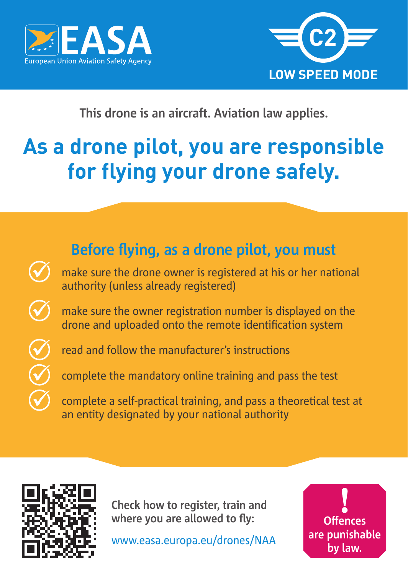



## **This drone is an aircraft. Aviation law applies.**

# **As a drone pilot, you are responsible for flying your drone safely.**





**Check how to register, train and where you are allowed to fly:**

www.easa.europa.eu/drones/NAA